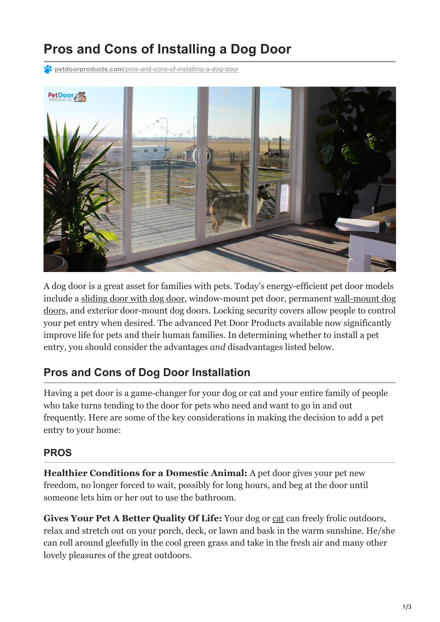# **Pros and Cons of Installing a Dog Door**

**PC** petdoorproducts.com[/pros-and-cons-of-installing-a-dog-door](https://petdoorproducts.com/pros-and-cons-of-installing-a-dog-door/)



A dog door is a great asset for families with pets. Today's energy-efficient pet door models [include a s](https://petdoorproducts.com/product/dog-doors-wall-mount/)[liding door with dog door](https://petdoorproducts.com/product/sliding-glass-dog-door/)[, window-mount pet door, permanent wall-mount dog](https://petdoorproducts.com/product/dog-doors-wall-mount/) doors, and exterior door-mount dog doors. Locking security covers allow people to control your pet entry when desired. The advanced Pet Door Products available now significantly improve life for pets and their human families. In determining whether to install a pet entry, you should consider the advantages *and* disadvantages listed below.

### **Pros and Cons of Dog Door Installation**

Having a pet door is a game-changer for your dog or cat and your entire family of people who take turns tending to the door for pets who need and want to go in and out frequently. Here are some of the key considerations in making the decision to add a pet entry to your home:

#### **PROS**

**Healthier Conditions for a Domestic Animal:** A pet door gives your pet new freedom, no longer forced to wait, possibly for long hours, and beg at the door until someone lets him or her out to use the bathroom.

**Gives Your Pet A Better Quality Of Life:** Your dog or [cat](https://petdoorproducts.com/the-best-cat-door-for-windows/) can freely frolic outdoors, relax and stretch out on your porch, deck, or lawn and bask in the warm sunshine. He/she can roll around gleefully in the cool green grass and take in the fresh air and many other lovely pleasures of the great outdoors.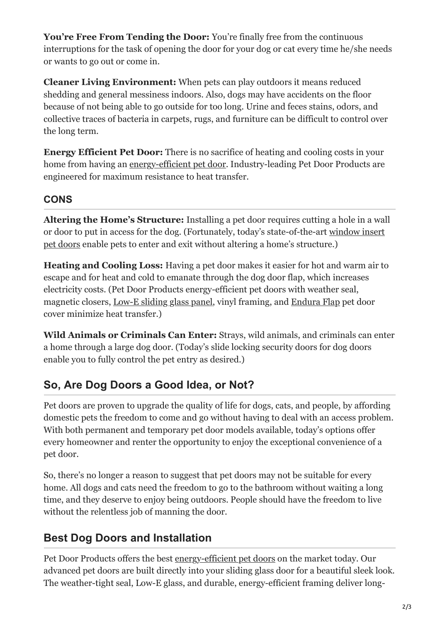You're Free From Tending the Door: You're finally free from the continuous interruptions for the task of opening the door for your dog or cat every time he/she needs or wants to go out or come in.

**Cleaner Living Environment:** When pets can play outdoors it means reduced shedding and general messiness indoors. Also, dogs may have accidents on the floor because of not being able to go outside for too long. Urine and feces stains, odors, and collective traces of bacteria in carpets, rugs, and furniture can be difficult to control over the long term.

**Energy Efficient Pet Door:** There is no sacrifice of heating and cooling costs in your home from having an [energy-efficient pet door.](https://petdoorproducts.com/should-i-upgrade-to-an-energy-efficient-doggie-door/) Industry-leading Pet Door Products are engineered for maximum resistance to heat transfer.

#### **CONS**

**Altering the Home's Structure:** Installing a pet door requires cutting a hole in a wall [or door to put in access for the dog. \(Fortunately, today's state-of-the-art window insert](https://petdoorproducts.com/product/pet-door-for-sash-windows/) pet doors enable pets to enter and exit without altering a home's structure.)

**Heating and Cooling Loss:** Having a pet door makes it easier for hot and warm air to escape and for heat and cold to emanate through the dog door flap, which increases electricity costs. (Pet Door Products energy-efficient pet doors with weather seal, magnetic closers, [Low-E sliding glass panel,](https://petdoorproducts.com/everything-you-should-know-about-low-e-glass/) vinyl framing, and [Endura Flap](https://petdoorproducts.com/product/endura-flap-for-pet-doors/) pet door cover minimize heat transfer.)

**Wild Animals or Criminals Can Enter:** Strays, wild animals, and criminals can enter a home through a large dog door. (Today's slide locking security doors for dog doors enable you to fully control the pet entry as desired.)

## **So, Are Dog Doors a Good Idea, or Not?**

Pet doors are proven to upgrade the quality of life for dogs, cats, and people, by affording domestic pets the freedom to come and go without having to deal with an access problem. With both permanent and temporary pet door models available, today's options offer every homeowner and renter the opportunity to enjoy the exceptional convenience of a pet door.

So, there's no longer a reason to suggest that pet doors may not be suitable for every home. All dogs and cats need the freedom to go to the bathroom without waiting a long time, and they deserve to enjoy being outdoors. People should have the freedom to live without the relentless job of manning the door.

## **Best Dog Doors and Installation**

Pet Door Products offers the best [energy-efficient pet doors](https://petdoorproducts.com/why-choose-us/) on the market today. Our advanced pet doors are built directly into your sliding glass door for a beautiful sleek look. The weather-tight seal, Low-E glass, and durable, energy-efficient framing deliver long